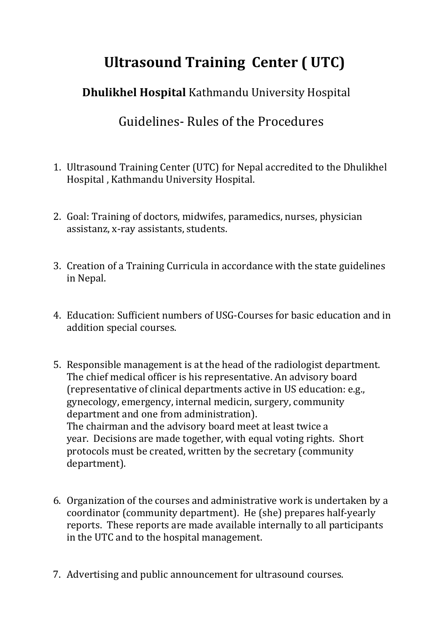## **Ultrasound Training Center ( UTC)**

 **Dhulikhel Hospital** Kathmandu University Hospital

Guidelines- Rules of the Procedures

- 1. Ultrasound Training Center (UTC) for Nepal accredited to the Dhulikhel Hospital , Kathmandu University Hospital.
- 2. Goal: Training of doctors, midwifes, paramedics, nurses, physician assistanz, x-ray assistants, students.
- 3. Creation of a Training Curricula in accordance with the state guidelines in Nepal.
- 4. Education: Sufficient numbers of USG-Courses for basic education and in addition special courses.
- 5. Responsible management is at the head of the radiologist department. The chief medical officer is his representative. An advisory board (representative of clinical departments active in US education: e.g., gynecology, emergency, internal medicin, surgery, community department and one from administration). The chairman and the advisory board meet at least twice a year. Decisions are made together, with equal voting rights. Short protocols must be created, written by the secretary (community department).
- 6. Organization of the courses and administrative work is undertaken by a coordinator (community department). He (she) prepares half-yearly reports. These reports are made available internally to all participants in the UTC and to the hospital management.
- 7. Advertising and public announcement for ultrasound courses.